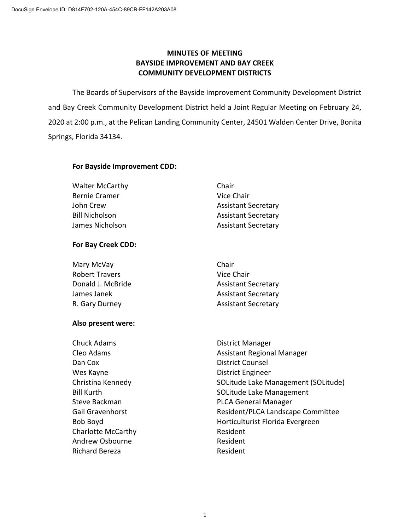# **MINUTES OF MEETING BAYSIDE IMPROVEMENT AND BAY CREEK COMMUNITY DEVELOPMENT DISTRICTS**

The Boards of Supervisors of the Bayside Improvement Community Development District and Bay Creek Community Development District held a Joint Regular Meeting on February 24, 2020 at 2:00 p.m., at the Pelican Landing Community Center, 24501 Walden Center Drive, Bonita Springs, Florida 34134.

## **For Bayside Improvement CDD:**

| Chair                      |
|----------------------------|
| Vice Chair                 |
| <b>Assistant Secretary</b> |
| <b>Assistant Secretary</b> |
| <b>Assistant Secretary</b> |
|                            |

# **For Bay Creek CDD:**

| Mary McVay            | Chair                      |
|-----------------------|----------------------------|
| <b>Robert Travers</b> | Vice Chair                 |
| Donald J. McBride     | <b>Assistant Secretary</b> |
| James Janek           | <b>Assistant Secretary</b> |
| R. Gary Durney        | <b>Assistant Secretary</b> |

## **Also present were:**

| <b>Chuck Adams</b>        | District Manager                    |
|---------------------------|-------------------------------------|
| Cleo Adams                | <b>Assistant Regional Manager</b>   |
| Dan Cox                   | <b>District Counsel</b>             |
| Wes Kayne                 | District Engineer                   |
| Christina Kennedy         | SOLitude Lake Management (SOLitude) |
| <b>Bill Kurth</b>         | SOLitude Lake Management            |
| Steve Backman             | <b>PLCA General Manager</b>         |
| <b>Gail Gravenhorst</b>   | Resident/PLCA Landscape Committee   |
| Bob Boyd                  | Horticulturist Florida Evergreen    |
| <b>Charlotte McCarthy</b> | Resident                            |
| Andrew Osbourne           | Resident                            |
| <b>Richard Bereza</b>     | Resident                            |
|                           |                                     |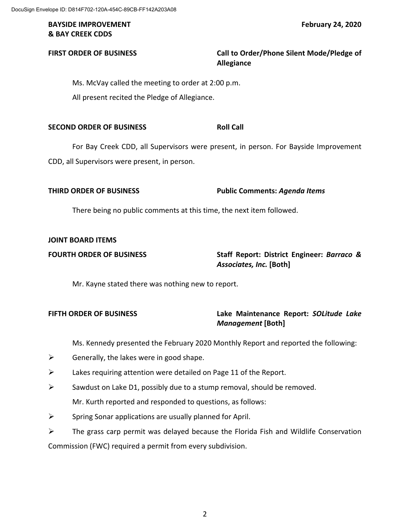## **BAYSIDE IMPROVEMENT FEBRUARY 24, 2020 & BAY CREEK CDDS**

# **FIRST ORDER OF BUSINESS Call to Order/Phone Silent Mode/Pledge of Allegiance**

Ms. McVay called the meeting to order at 2:00 p.m. All present recited the Pledge of Allegiance.

**SECOND ORDER OF BUSINESS ROLL CALL** 

For Bay Creek CDD, all Supervisors were present, in person. For Bayside Improvement CDD, all Supervisors were present, in person.

## **THIRD ORDER OF BUSINESS Public Comments:** *Agenda Items*

There being no public comments at this time, the next item followed.

## **JOINT BOARD ITEMS**

## **FOURTH ORDER OF BUSINESS Staff Report: District Engineer:** *Barraco & Associates, Inc.* **[Both]**

Mr. Kayne stated there was nothing new to report.

# **FIFTH ORDER OF BUSINESS Lake Maintenance Report:** *SOLitude Lake Management* **[Both]**

Ms. Kennedy presented the February 2020 Monthly Report and reported the following:

- $\triangleright$  Generally, the lakes were in good shape.
- $\triangleright$  Lakes requiring attention were detailed on Page 11 of the Report.
- $\triangleright$  Sawdust on Lake D1, possibly due to a stump removal, should be removed.

Mr. Kurth reported and responded to questions, as follows:

 $\triangleright$  Spring Sonar applications are usually planned for April.

 $\triangleright$  The grass carp permit was delayed because the Florida Fish and Wildlife Conservation Commission (FWC) required a permit from every subdivision.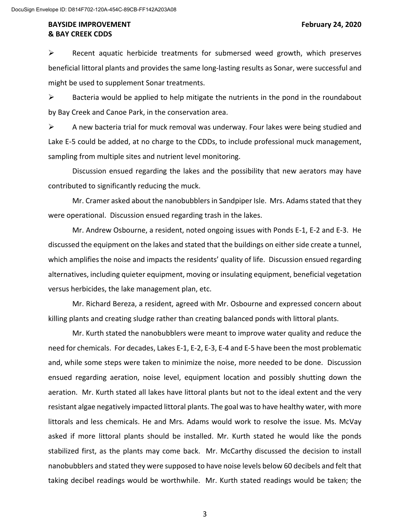$\triangleright$  Recent aquatic herbicide treatments for submersed weed growth, which preserves beneficial littoral plants and provides the same long-lasting results as Sonar, were successful and might be used to supplement Sonar treatments.

 $\triangleright$  Bacteria would be applied to help mitigate the nutrients in the pond in the roundabout by Bay Creek and Canoe Park, in the conservation area.

 $\triangleright$  A new bacteria trial for muck removal was underway. Four lakes were being studied and Lake E-5 could be added, at no charge to the CDDs, to include professional muck management, sampling from multiple sites and nutrient level monitoring.

Discussion ensued regarding the lakes and the possibility that new aerators may have contributed to significantly reducing the muck.

Mr. Cramer asked about the nanobubblersin Sandpiper Isle. Mrs. Adams stated that they were operational. Discussion ensued regarding trash in the lakes.

Mr. Andrew Osbourne, a resident, noted ongoing issues with Ponds E-1, E-2 and E-3. He discussed the equipment on the lakes and stated that the buildings on either side create a tunnel, which amplifies the noise and impacts the residents' quality of life. Discussion ensued regarding alternatives, including quieter equipment, moving or insulating equipment, beneficial vegetation versus herbicides, the lake management plan, etc.

Mr. Richard Bereza, a resident, agreed with Mr. Osbourne and expressed concern about killing plants and creating sludge rather than creating balanced ponds with littoral plants.

Mr. Kurth stated the nanobubblers were meant to improve water quality and reduce the need for chemicals. For decades, Lakes E-1, E-2, E-3, E-4 and E-5 have been the most problematic and, while some steps were taken to minimize the noise, more needed to be done. Discussion ensued regarding aeration, noise level, equipment location and possibly shutting down the aeration. Mr. Kurth stated all lakes have littoral plants but not to the ideal extent and the very resistant algae negatively impacted littoral plants. The goal was to have healthy water, with more littorals and less chemicals. He and Mrs. Adams would work to resolve the issue. Ms. McVay asked if more littoral plants should be installed. Mr. Kurth stated he would like the ponds stabilized first, as the plants may come back. Mr. McCarthy discussed the decision to install nanobubblers and stated they were supposed to have noise levels below 60 decibels and felt that taking decibel readings would be worthwhile. Mr. Kurth stated readings would be taken; the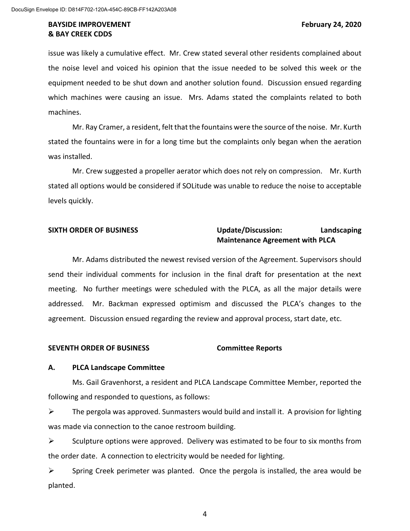issue was likely a cumulative effect. Mr. Crew stated several other residents complained about the noise level and voiced his opinion that the issue needed to be solved this week or the equipment needed to be shut down and another solution found. Discussion ensued regarding which machines were causing an issue. Mrs. Adams stated the complaints related to both machines.

Mr. Ray Cramer, a resident, felt that the fountains were the source of the noise. Mr. Kurth stated the fountains were in for a long time but the complaints only began when the aeration was installed.

Mr. Crew suggested a propeller aerator which does not rely on compression. Mr. Kurth stated all options would be considered if SOLitude was unable to reduce the noise to acceptable levels quickly.

## **SIXTH ORDER OF BUSINESS Update/Discussion: Landscaping Maintenance Agreement with PLCA**

Mr. Adams distributed the newest revised version of the Agreement. Supervisors should send their individual comments for inclusion in the final draft for presentation at the next meeting. No further meetings were scheduled with the PLCA, as all the major details were addressed. Mr. Backman expressed optimism and discussed the PLCA's changes to the agreement. Discussion ensued regarding the review and approval process, start date, etc.

### **SEVENTH ORDER OF BUSINESS Committee Reports**

### **A. PLCA Landscape Committee**

Ms. Gail Gravenhorst, a resident and PLCA Landscape Committee Member, reported the following and responded to questions, as follows:

 $\triangleright$  The pergola was approved. Sunmasters would build and install it. A provision for lighting was made via connection to the canoe restroom building.

 $\triangleright$  Sculpture options were approved. Delivery was estimated to be four to six months from the order date. A connection to electricity would be needed for lighting.

 $\triangleright$  Spring Creek perimeter was planted. Once the pergola is installed, the area would be planted.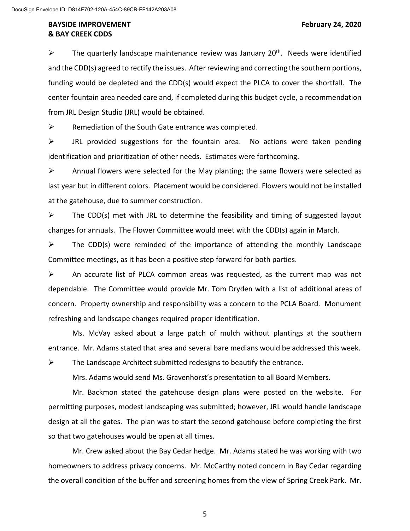$\triangleright$  The quarterly landscape maintenance review was January 20<sup>th</sup>. Needs were identified and the CDD(s) agreed to rectify the issues. After reviewing and correcting the southern portions, funding would be depleted and the CDD(s) would expect the PLCA to cover the shortfall. The center fountain area needed care and, if completed during this budget cycle, a recommendation from JRL Design Studio (JRL) would be obtained.

 $\triangleright$  Remediation of the South Gate entrance was completed.

 $\triangleright$  JRL provided suggestions for the fountain area. No actions were taken pending identification and prioritization of other needs. Estimates were forthcoming.

 $\triangleright$  Annual flowers were selected for the May planting; the same flowers were selected as last year but in different colors. Placement would be considered. Flowers would not be installed at the gatehouse, due to summer construction.

 $\triangleright$  The CDD(s) met with JRL to determine the feasibility and timing of suggested layout changes for annuals. The Flower Committee would meet with the CDD(s) again in March.

 $\triangleright$  The CDD(s) were reminded of the importance of attending the monthly Landscape Committee meetings, as it has been a positive step forward for both parties.

 $\triangleright$  An accurate list of PLCA common areas was requested, as the current map was not dependable. The Committee would provide Mr. Tom Dryden with a list of additional areas of concern. Property ownership and responsibility was a concern to the PCLA Board. Monument refreshing and landscape changes required proper identification.

Ms. McVay asked about a large patch of mulch without plantings at the southern entrance. Mr. Adams stated that area and several bare medians would be addressed this week.

 $\triangleright$  The Landscape Architect submitted redesigns to beautify the entrance.

Mrs. Adams would send Ms. Gravenhorst's presentation to all Board Members.

Mr. Backmon stated the gatehouse design plans were posted on the website. For permitting purposes, modest landscaping was submitted; however, JRL would handle landscape design at all the gates. The plan was to start the second gatehouse before completing the first so that two gatehouses would be open at all times.

Mr. Crew asked about the Bay Cedar hedge. Mr. Adams stated he was working with two homeowners to address privacy concerns. Mr. McCarthy noted concern in Bay Cedar regarding the overall condition of the buffer and screening homes from the view of Spring Creek Park. Mr.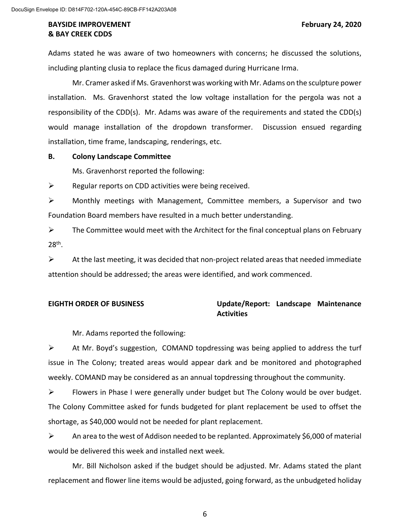Adams stated he was aware of two homeowners with concerns; he discussed the solutions, including planting clusia to replace the ficus damaged during Hurricane Irma.

Mr. Cramer asked if Ms. Gravenhorst was working with Mr. Adams on the sculpture power installation. Ms. Gravenhorst stated the low voltage installation for the pergola was not a responsibility of the CDD(s). Mr. Adams was aware of the requirements and stated the CDD(s) would manage installation of the dropdown transformer. Discussion ensued regarding installation, time frame, landscaping, renderings, etc.

### **B. Colony Landscape Committee**

Ms. Gravenhorst reported the following:

 $\triangleright$  Regular reports on CDD activities were being received.

 Monthly meetings with Management, Committee members, a Supervisor and two Foundation Board members have resulted in a much better understanding.

 $\triangleright$  The Committee would meet with the Architect for the final conceptual plans on February 28th.

 $\triangleright$  At the last meeting, it was decided that non-project related areas that needed immediate attention should be addressed; the areas were identified, and work commenced.

## **EIGHTH ORDER OF BUSINESS Update/Report: Landscape Maintenance Activities**

Mr. Adams reported the following:

 $\triangleright$  At Mr. Boyd's suggestion, COMAND topdressing was being applied to address the turf issue in The Colony; treated areas would appear dark and be monitored and photographed weekly. COMAND may be considered as an annual topdressing throughout the community.

Flowers in Phase I were generally under budget but The Colony would be over budget. The Colony Committee asked for funds budgeted for plant replacement be used to offset the shortage, as \$40,000 would not be needed for plant replacement.

 $\triangleright$  An area to the west of Addison needed to be replanted. Approximately \$6,000 of material would be delivered this week and installed next week.

Mr. Bill Nicholson asked if the budget should be adjusted. Mr. Adams stated the plant replacement and flower line items would be adjusted, going forward, as the unbudgeted holiday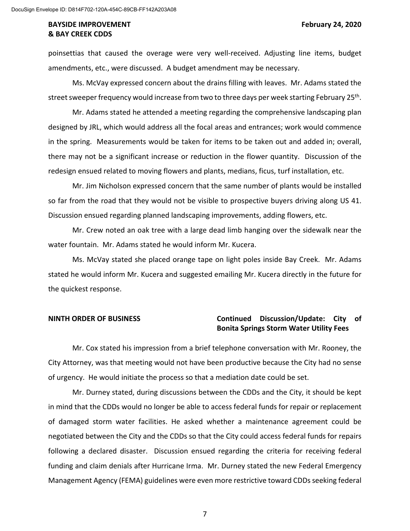poinsettias that caused the overage were very well-received. Adjusting line items, budget amendments, etc., were discussed. A budget amendment may be necessary.

Ms. McVay expressed concern about the drains filling with leaves. Mr. Adams stated the street sweeper frequency would increase from two to three days per week starting February 25th.

Mr. Adams stated he attended a meeting regarding the comprehensive landscaping plan designed by JRL, which would address all the focal areas and entrances; work would commence in the spring. Measurements would be taken for items to be taken out and added in; overall, there may not be a significant increase or reduction in the flower quantity. Discussion of the redesign ensued related to moving flowers and plants, medians, ficus, turf installation, etc.

Mr. Jim Nicholson expressed concern that the same number of plants would be installed so far from the road that they would not be visible to prospective buyers driving along US 41. Discussion ensued regarding planned landscaping improvements, adding flowers, etc.

Mr. Crew noted an oak tree with a large dead limb hanging over the sidewalk near the water fountain. Mr. Adams stated he would inform Mr. Kucera.

Ms. McVay stated she placed orange tape on light poles inside Bay Creek. Mr. Adams stated he would inform Mr. Kucera and suggested emailing Mr. Kucera directly in the future for the quickest response.

## **NINTH ORDER OF BUSINESS Continued Discussion/Update: City of Bonita Springs Storm Water Utility Fees**

Mr. Cox stated his impression from a brief telephone conversation with Mr. Rooney, the City Attorney, was that meeting would not have been productive because the City had no sense of urgency. He would initiate the process so that a mediation date could be set.

Mr. Durney stated, during discussions between the CDDs and the City, it should be kept in mind that the CDDs would no longer be able to access federal funds for repair or replacement of damaged storm water facilities. He asked whether a maintenance agreement could be negotiated between the City and the CDDs so that the City could access federal funds for repairs following a declared disaster. Discussion ensued regarding the criteria for receiving federal funding and claim denials after Hurricane Irma. Mr. Durney stated the new Federal Emergency Management Agency (FEMA) guidelines were even more restrictive toward CDDs seeking federal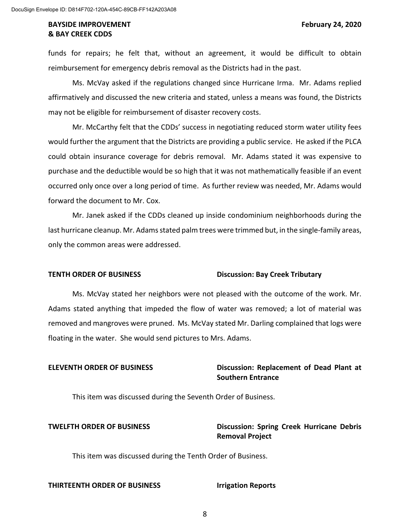funds for repairs; he felt that, without an agreement, it would be difficult to obtain reimbursement for emergency debris removal as the Districts had in the past.

Ms. McVay asked if the regulations changed since Hurricane Irma. Mr. Adams replied affirmatively and discussed the new criteria and stated, unless a means was found, the Districts may not be eligible for reimbursement of disaster recovery costs.

Mr. McCarthy felt that the CDDs' success in negotiating reduced storm water utility fees would further the argument that the Districts are providing a public service. He asked if the PLCA could obtain insurance coverage for debris removal. Mr. Adams stated it was expensive to purchase and the deductible would be so high that it was not mathematically feasible if an event occurred only once over a long period of time. As further review was needed, Mr. Adams would forward the document to Mr. Cox.

Mr. Janek asked if the CDDs cleaned up inside condominium neighborhoods during the last hurricane cleanup. Mr. Adams stated palm trees were trimmed but, in the single-family areas, only the common areas were addressed.

### **TENTH ORDER OF BUSINESS Discussion: Bay Creek Tributary**

Ms. McVay stated her neighbors were not pleased with the outcome of the work. Mr. Adams stated anything that impeded the flow of water was removed; a lot of material was removed and mangroves were pruned. Ms. McVay stated Mr. Darling complained that logs were floating in the water. She would send pictures to Mrs. Adams.

# **ELEVENTH ORDER OF BUSINESS Discussion: Replacement of Dead Plant at Southern Entrance**

This item was discussed during the Seventh Order of Business.

# **TWELFTH ORDER OF BUSINESS Discussion: Spring Creek Hurricane Debris Removal Project**

This item was discussed during the Tenth Order of Business.

#### **THIRTEENTH ORDER OF BUSINESS Irrigation Reports**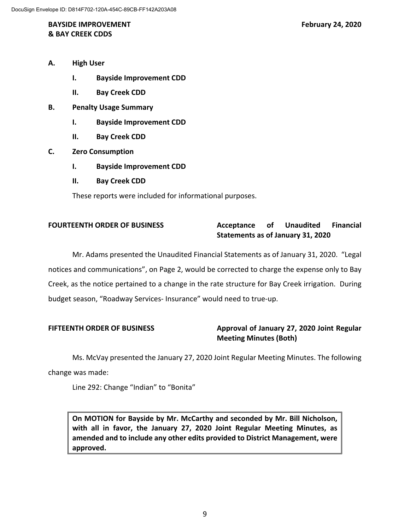## **BAYSIDE IMPROVEMENT FEBRUARY 24, 2020 & BAY CREEK CDDS**

- **A. High User**
	- **I. Bayside Improvement CDD**
	- **II. Bay Creek CDD**
- **B. Penalty Usage Summary**
	- **I. Bayside Improvement CDD**
	- **II. Bay Creek CDD**
- **C. Zero Consumption** 
	- **I. Bayside Improvement CDD**
	- **II. Bay Creek CDD**

These reports were included for informational purposes.

# **FOURTEENTH ORDER OF BUSINESS Acceptance of Unaudited Financial Statements as of January 31, 2020**

Mr. Adams presented the Unaudited Financial Statements as of January 31, 2020. "Legal notices and communications", on Page 2, would be corrected to charge the expense only to Bay Creek, as the notice pertained to a change in the rate structure for Bay Creek irrigation. During budget season, "Roadway Services- Insurance" would need to true-up.

# **FIFTEENTH ORDER OF BUSINESS Approval of January 27, 2020 Joint Regular Meeting Minutes (Both)**

Ms. McVay presented the January 27, 2020 Joint Regular Meeting Minutes. The following change was made:

Line 292: Change "Indian" to "Bonita"

**On MOTION for Bayside by Mr. McCarthy and seconded by Mr. Bill Nicholson, with all in favor, the January 27, 2020 Joint Regular Meeting Minutes, as amended and to include any other edits provided to District Management, were approved.**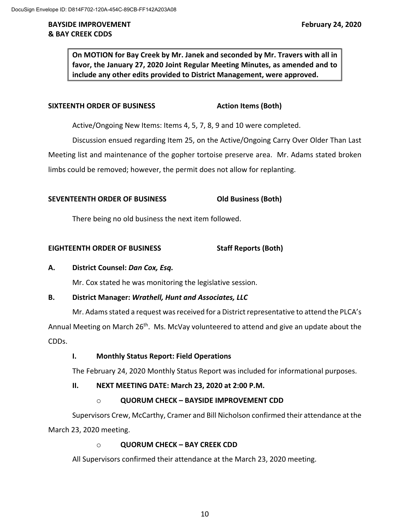**On MOTION for Bay Creek by Mr. Janek and seconded by Mr. Travers with all in favor, the January 27, 2020 Joint Regular Meeting Minutes, as amended and to include any other edits provided to District Management, were approved.**

## **SIXTEENTH ORDER OF BUSINESS Action Items (Both)**

Active/Ongoing New Items: Items 4, 5, 7, 8, 9 and 10 were completed.

Discussion ensued regarding Item 25, on the Active/Ongoing Carry Over Older Than Last Meeting list and maintenance of the gopher tortoise preserve area. Mr. Adams stated broken limbs could be removed; however, the permit does not allow for replanting.

## **SEVENTEENTH ORDER OF BUSINESS Old Business (Both)**

There being no old business the next item followed.

## **EIGHTEENTH ORDER OF BUSINESS Staff Reports (Both)**

## **A. District Counsel:** *Dan Cox, Esq.*

Mr. Cox stated he was monitoring the legislative session.

## **B. District Manager:** *Wrathell, Hunt and Associates, LLC*

Mr. Adams stated a request was received for a District representative to attend the PLCA's Annual Meeting on March 26<sup>th</sup>. Ms. McVay volunteered to attend and give an update about the CDDs.

### **I. Monthly Status Report: Field Operations**

The February 24, 2020 Monthly Status Report was included for informational purposes.

### **II. NEXT MEETING DATE: March 23, 2020 at 2:00 P.M.**

## o **QUORUM CHECK – BAYSIDE IMPROVEMENT CDD**

Supervisors Crew, McCarthy, Cramer and Bill Nicholson confirmed their attendance at the March 23, 2020 meeting.

### o **QUORUM CHECK – BAY CREEK CDD**

All Supervisors confirmed their attendance at the March 23, 2020 meeting.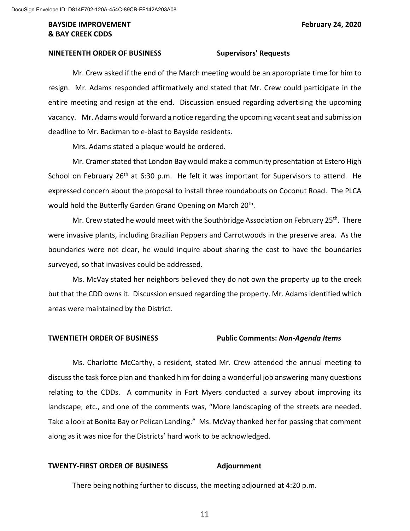#### **NINETEENTH ORDER OF BUSINESS Supervisors' Requests**

Mr. Crew asked if the end of the March meeting would be an appropriate time for him to resign. Mr. Adams responded affirmatively and stated that Mr. Crew could participate in the entire meeting and resign at the end. Discussion ensued regarding advertising the upcoming vacancy. Mr. Adams would forward a notice regarding the upcoming vacant seat and submission deadline to Mr. Backman to e-blast to Bayside residents.

Mrs. Adams stated a plaque would be ordered.

Mr. Cramer stated that London Bay would make a community presentation at Estero High School on February  $26<sup>th</sup>$  at 6:30 p.m. He felt it was important for Supervisors to attend. He expressed concern about the proposal to install three roundabouts on Coconut Road. The PLCA would hold the Butterfly Garden Grand Opening on March 20<sup>th</sup>.

Mr. Crew stated he would meet with the Southbridge Association on February  $25<sup>th</sup>$ . There were invasive plants, including Brazilian Peppers and Carrotwoods in the preserve area. As the boundaries were not clear, he would inquire about sharing the cost to have the boundaries surveyed, so that invasives could be addressed.

Ms. McVay stated her neighbors believed they do not own the property up to the creek but that the CDD owns it. Discussion ensued regarding the property. Mr. Adams identified which areas were maintained by the District.

#### **TWENTIETH ORDER OF BUSINESS Public Comments:** *Non-Agenda Items*

Ms. Charlotte McCarthy, a resident, stated Mr. Crew attended the annual meeting to discuss the task force plan and thanked him for doing a wonderful job answering many questions relating to the CDDs. A community in Fort Myers conducted a survey about improving its landscape, etc., and one of the comments was, "More landscaping of the streets are needed. Take a look at Bonita Bay or Pelican Landing." Ms. McVay thanked her for passing that comment along as it was nice for the Districts' hard work to be acknowledged.

#### **TWENTY-FIRST ORDER OF BUSINESS Adjournment**

There being nothing further to discuss, the meeting adjourned at 4:20 p.m.